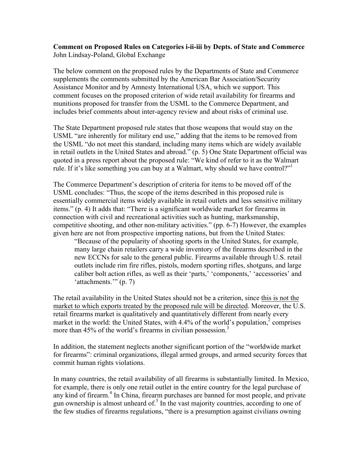## **Comment on Proposed Rules on Categories i-ii-iii by Depts. of State and Commerce** John Lindsay-Poland, Global Exchange

The below comment on the proposed rules by the Departments of State and Commerce supplements the comments submitted by the American Bar Association/Security Assistance Monitor and by Amnesty International USA, which we support. This comment focuses on the proposed criterion of wide retail availability for firearms and munitions proposed for transfer from the USML to the Commerce Department, and includes brief comments about inter-agency review and about risks of criminal use.

The State Department proposed rule states that those weapons that would stay on the USML "are inherently for military end use," adding that the items to be removed from the USML "do not meet this standard, including many items which are widely available in retail outlets in the United States and abroad." (p. 5) One State Department official was quoted in a press report about the proposed rule: "We kind of refer to it as the Walmart rule. If it's like something you can buy at a Walmart, why should we have control?"

The Commerce Department's description of criteria for items to be moved off of the USML concludes: "Thus, the scope of the items described in this proposed rule is essentially commercial items widely available in retail outlets and less sensitive military items." (p. 4) It adds that: "There is a significant worldwide market for firearms in connection with civil and recreational activities such as hunting, marksmanship, competitive shooting, and other non-military activities." (pp. 6-7) However, the examples given here are not from prospective importing nations, but from the United States:

"Because of the popularity of shooting sports in the United States, for example, many large chain retailers carry a wide inventory of the firearms described in the new ECCNs for sale to the general public. Firearms available through U.S. retail outlets include rim fire rifles, pistols, modern sporting rifles, shotguns, and large caliber bolt action rifles, as well as their 'parts,' 'components,' 'accessories' and 'attachments.'" (p. 7)

The retail availability in the United States should not be a criterion, since this is not the market to which exports treated by the proposed rule will be directed. Moreover, the U.S. retail firearms market is qualitatively and quantitatively different from nearly every market in the world: the United States, with  $4.4\%$  of the world's population,<sup>2</sup> comprises more than 45% of the world's firearms in civilian possession.<sup>3</sup>

In addition, the statement neglects another significant portion of the "worldwide market for firearms": criminal organizations, illegal armed groups, and armed security forces that commit human rights violations.

In many countries, the retail availability of all firearms is substantially limited. In Mexico, for example, there is only one retail outlet in the entire country for the legal purchase of any kind of firearm.<sup>4</sup> In China, firearm purchases are banned for most people, and private gun ownership is almost unheard of. $5$  In the vast majority countries, according to one of the few studies of firearms regulations, "there is a presumption against civilians owning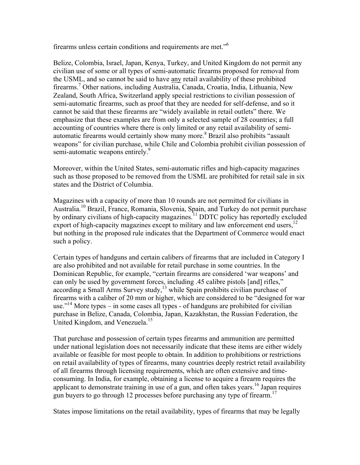firearms unless certain conditions and requirements are met."6

Belize, Colombia, Israel, Japan, Kenya, Turkey, and United Kingdom do not permit any civilian use of some or all types of semi-automatic firearms proposed for removal from the USML, and so cannot be said to have any retail availability of these prohibited firearms.7 Other nations, including Australia, Canada, Croatia, India, Lithuania, New Zealand, South Africa, Switzerland apply special restrictions to civilian possession of semi-automatic firearms, such as proof that they are needed for self-defense, and so it cannot be said that these firearms are "widely available in retail outlets" there. We emphasize that these examples are from only a selected sample of 28 countries; a full accounting of countries where there is only limited or any retail availability of semiautomatic firearms would certainly show many more.<sup>8</sup> Brazil also prohibits "assault" weapons" for civilian purchase, while Chile and Colombia prohibit civilian possession of semi-automatic weapons entirely.<sup>9</sup>

Moreover, within the United States, semi-automatic rifles and high-capacity magazines such as those proposed to be removed from the USML are prohibited for retail sale in six states and the District of Columbia.

Magazines with a capacity of more than 10 rounds are not permitted for civilians in Australia.<sup>10</sup> Brazil, France, Romania, Slovenia, Spain, and Turkey do not permit purchase by ordinary civilians of high-capacity magazines.<sup>11</sup> DDTC policy has reportedly excluded export of high-capacity magazines except to military and law enforcement end users,  $12$ but nothing in the proposed rule indicates that the Department of Commerce would enact such a policy.

Certain types of handguns and certain calibers of firearms that are included in Category I are also prohibited and not available for retail purchase in some countries. In the Dominican Republic, for example, "certain firearms are considered 'war weapons' and can only be used by government forces, including .45 calibre pistols [and] rifles," according a Small Arms Survey study,<sup>13</sup> while Spain prohibits civilian purchase of firearms with a caliber of 20 mm or higher, which are considered to be "designed for war use."<sup>14</sup> More types – in some cases all types - of handguns are prohibited for civilian purchase in Belize, Canada, Colombia, Japan, Kazakhstan, the Russian Federation, the United Kingdom, and Venezuela.<sup>15</sup>

That purchase and possession of certain types firearms and ammunition are permitted under national legislation does not necessarily indicate that these items are either widely available or feasible for most people to obtain. In addition to prohibitions or restrictions on retail availability of types of firearms, many countries deeply restrict retail availability of all firearms through licensing requirements, which are often extensive and timeconsuming. In India, for example, obtaining a license to acquire a firearm requires the applicant to demonstrate training in use of a gun, and often takes years.<sup>16</sup> Japan requires gun buyers to go through 12 processes before purchasing any type of firearm.<sup>17</sup>

States impose limitations on the retail availability, types of firearms that may be legally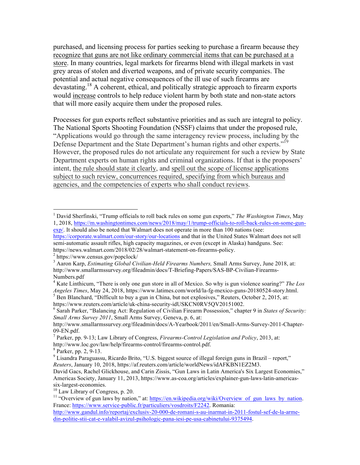purchased, and licensing process for parties seeking to purchase a firearm because they recognize that guns are not like ordinary commercial items that can be purchased at a store. In many countries, legal markets for firearms blend with illegal markets in vast grey areas of stolen and diverted weapons, and of private security companies. The potential and actual negative consequences of the ill use of such firearms are devastating.<sup>18</sup> A coherent, ethical, and politically strategic approach to firearm exports would increase controls to help reduce violent harm by both state and non-state actors that will more easily acquire them under the proposed rules.

Processes for gun exports reflect substantive priorities and as such are integral to policy. The National Sports Shooting Foundation (NSSF) claims that under the proposed rule, "Applications would go through the same interagency review process, including by the Defense Department and the State Department's human rights and other experts."<sup>19</sup> However, the proposed rules do not articulate any requirement for such a review by State Department experts on human rights and criminal organizations. If that is the proposers' intent, the rule should state it clearly, and spell out the scope of license applications subject to such review, concurrences required, specifying from which bureaus and agencies, and the competencies of experts who shall conduct reviews.

<sup>&</sup>lt;sup>1</sup> David Sherfinski, "Trump officials to roll back rules on some gun exports," *The Washington Times*, May 1, 2018, https://m.washingtontimes.com/news/2018/may/1/trump-officials-to-roll-back-rules-on-some-gunexp/. It should also be noted that Walmart does not operate in more than 100 nations (see:

https://corporate.walmart.com/our-story/our-locations and that in the United States Walmart does not sell semi-automatic assault rifles, high capacity magazines, or even (except in Alaska) handguns. See: https://news.walmart.com/2018/02/28/walmart-statement-on-firearms-policy. <sup>2</sup> https://www.census.gov/popclock/

<sup>3</sup> Aaron Karp, *Estimating Global Civilian-Held Firearms Numbers,* Small Arms Survey, June 2018, at: http://www.smallarmssurvey.org/fileadmin/docs/T-Briefing-Papers/SAS-BP-Civilian-Firearms-Numbers.pdf

<sup>&</sup>lt;sup>4</sup> Kate Linthicum, "There is only one gun store in all of Mexico. So why is gun violence soaring?" *The Los Angeles Times*, May 24, 2018, https://www.latimes.com/world/la-fg-mexico-guns-20180524-story.html. <sup>5</sup> Ben Blanchard, "Difficult to buy a gun in China, but not explosives," Reuters, October 2, 2015, at:<br>https://www.reuters.com/article/uk-china-security-idUSKCN0RV5QV20151002.

<sup>&</sup>lt;sup>6</sup> Sarah Parker, "Balancing Act: Regulation of Civilian Firearm Possession," chapter 9 in *States of Security: Small Arms Survey 2011*, Small Arms Survey, Geneva, p. 6, at:

http://www.smallarmssurvey.org/fileadmin/docs/A-Yearbook/2011/en/Small-Arms-Survey-2011-Chapter-09-EN.pdf.<br><sup>7</sup> Parker, pp. 9-13; Law Library of Congress, *Firearms-Control Legislation and Policy*, 2013, at:

http://www.loc.gov/law/help/firearms-control/firearms-control.pdf.<br><sup>8</sup> Parker, pp. 2, 9-13.<br><sup>9</sup> Lisandra Paraguassu, Ricardo Brito, "U.S. biggest source of illegal foreign guns in Brazil – report," *Reuters*, January 10, 2018, https://af.reuters.com/article/worldNews/idAFKBN1EZ2M3.

David Gacs, Rachel Glickhouse, and Carin Zissis, "Gun Laws in Latin America's Six Largest Economies," Americas Society, January 11, 2013, https://www.as-coa.org/articles/explainer-gun-laws-latin-americas-

<sup>&</sup>lt;sup>10</sup> Law Library of Congress, p. 20. 11 "Overview of gun laws by nation," at: https://en.wikipedia.org/wiki/Overview of gun laws by nation. France: https://www.service-public.fr/particuliers/vosdroits/F2242. Romania:

http://www.gandul.info/reportaj/exclusiv-20-000-de-romani-s-au-inarmat-in-2011-fostul-sef-de-la-armedin-politie-stii-cat-e-valabil-avizul-psihologic-pana-iesi-pe-usa-cabinetului-9375494.